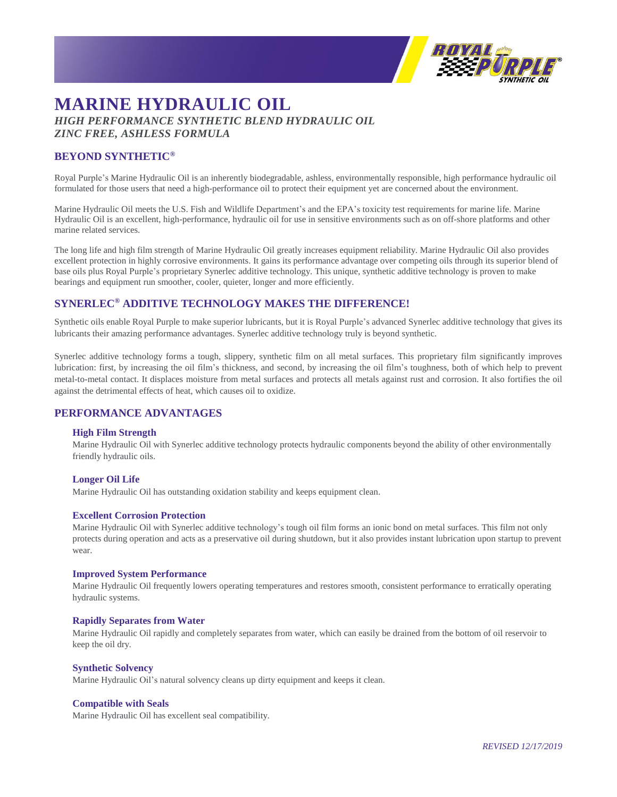

# **MARINE HYDRAULIC OIL** *HIGH PERFORMANCE SYNTHETIC BLEND HYDRAULIC OIL ZINC FREE, ASHLESS FORMULA*

## **BEYOND SYNTHETIC®**

Royal Purple's Marine Hydraulic Oil is an inherently biodegradable, ashless, environmentally responsible, high performance hydraulic oil formulated for those users that need a high-performance oil to protect their equipment yet are concerned about the environment.

Marine Hydraulic Oil meets the U.S. Fish and Wildlife Department's and the EPA's toxicity test requirements for marine life. Marine Hydraulic Oil is an excellent, high-performance, hydraulic oil for use in sensitive environments such as on off-shore platforms and other marine related services.

The long life and high film strength of Marine Hydraulic Oil greatly increases equipment reliability. Marine Hydraulic Oil also provides excellent protection in highly corrosive environments. It gains its performance advantage over competing oils through its superior blend of base oils plus Royal Purple's proprietary Synerlec additive technology. This unique, synthetic additive technology is proven to make bearings and equipment run smoother, cooler, quieter, longer and more efficiently.

# **SYNERLEC® ADDITIVE TECHNOLOGY MAKES THE DIFFERENCE!**

Synthetic oils enable Royal Purple to make superior lubricants, but it is Royal Purple's advanced Synerlec additive technology that gives its lubricants their amazing performance advantages. Synerlec additive technology truly is beyond synthetic.

Synerlec additive technology forms a tough, slippery, synthetic film on all metal surfaces. This proprietary film significantly improves lubrication: first, by increasing the oil film's thickness, and second, by increasing the oil film's toughness, both of which help to prevent metal-to-metal contact. It displaces moisture from metal surfaces and protects all metals against rust and corrosion. It also fortifies the oil against the detrimental effects of heat, which causes oil to oxidize.

### **PERFORMANCE ADVANTAGES**

#### **High Film Strength**

Marine Hydraulic Oil with Synerlec additive technology protects hydraulic components beyond the ability of other environmentally friendly hydraulic oils.

#### **Longer Oil Life**

Marine Hydraulic Oil has outstanding oxidation stability and keeps equipment clean.

#### **Excellent Corrosion Protection**

Marine Hydraulic Oil with Synerlec additive technology's tough oil film forms an ionic bond on metal surfaces. This film not only protects during operation and acts as a preservative oil during shutdown, but it also provides instant lubrication upon startup to prevent wear.

#### **Improved System Performance**

Marine Hydraulic Oil frequently lowers operating temperatures and restores smooth, consistent performance to erratically operating hydraulic systems.

#### **Rapidly Separates from Water**

Marine Hydraulic Oil rapidly and completely separates from water, which can easily be drained from the bottom of oil reservoir to keep the oil dry.

#### **Synthetic Solvency**

Marine Hydraulic Oil's natural solvency cleans up dirty equipment and keeps it clean.

#### **Compatible with Seals**

Marine Hydraulic Oil has excellent seal compatibility.